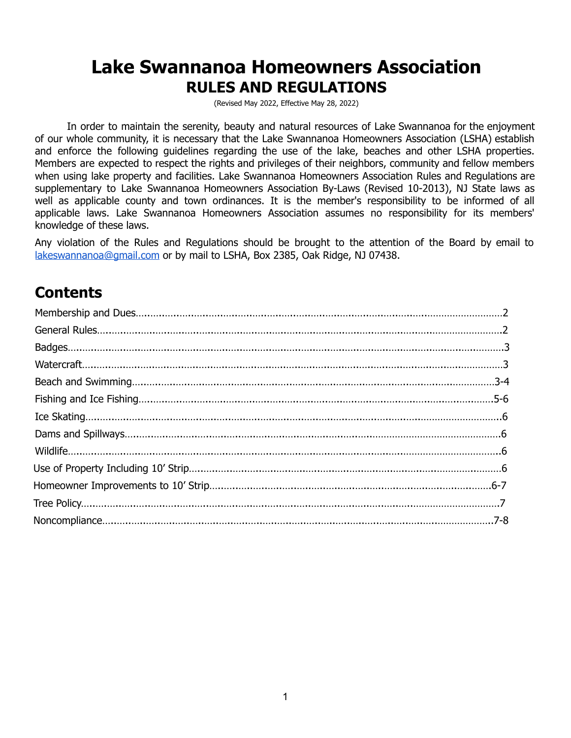# **Lake Swannanoa Homeowners Association RULES AND REGULATIONS**

(Revised May 2022, Effective May 28, 2022)

In order to maintain the serenity, beauty and natural resources of Lake Swannanoa for the enjoyment of our whole community, it is necessary that the Lake Swannanoa Homeowners Association (LSHA) establish and enforce the following guidelines regarding the use of the lake, beaches and other LSHA properties. Members are expected to respect the rights and privileges of their neighbors, community and fellow members when using lake property and facilities. Lake Swannanoa Homeowners Association Rules and Regulations are supplementary to Lake Swannanoa Homeowners Association By-Laws (Revised 10-2013), NJ State laws as well as applicable county and town ordinances. It is the member's responsibility to be informed of all applicable laws. Lake Swannanoa Homeowners Association assumes no responsibility for its members' knowledge of these laws.

Any violation of the Rules and Regulations should be brought to the attention of the Board by email to [lakeswannanoa@gmail.com](mailto:Lakeswannanoa@gmail.com) or by mail to LSHA, Box 2385, Oak Ridge, NJ 07438.

# **Contents**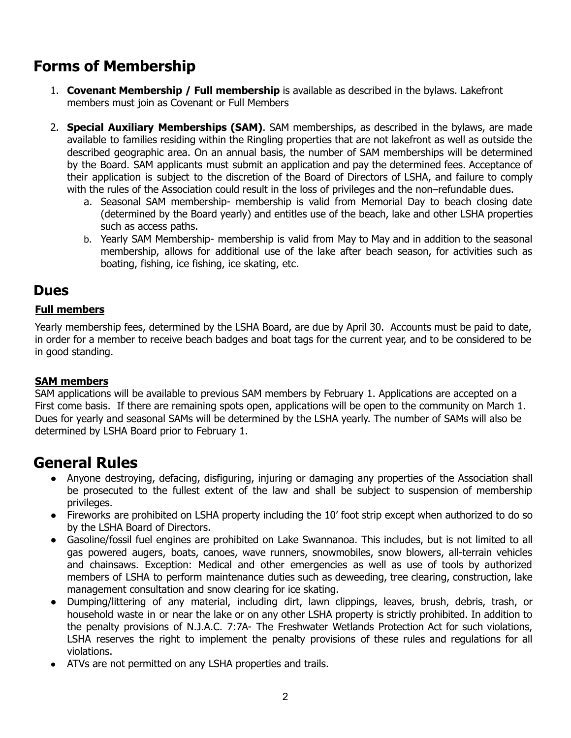# **Forms of Membership**

- 1. **Covenant Membership / Full membership** is available as described in the bylaws. Lakefront members must join as Covenant or Full Members
- 2. **Special Auxiliary Memberships (SAM)**. SAM memberships, as described in the bylaws, are made available to families residing within the Ringling properties that are not lakefront as well as outside the described geographic area. On an annual basis, the number of SAM memberships will be determined by the Board. SAM applicants must submit an application and pay the determined fees. Acceptance of their application is subject to the discretion of the Board of Directors of LSHA, and failure to comply with the rules of the Association could result in the loss of privileges and the non–refundable dues.
	- a. Seasonal SAM membership- membership is valid from Memorial Day to beach closing date (determined by the Board yearly) and entitles use of the beach, lake and other LSHA properties such as access paths.
	- b. Yearly SAM Membership- membership is valid from May to May and in addition to the seasonal membership, allows for additional use of the lake after beach season, for activities such as boating, fishing, ice fishing, ice skating, etc.

## **Dues**

#### **Full members**

Yearly membership fees, determined by the LSHA Board, are due by April 30. Accounts must be paid to date, in order for a member to receive beach badges and boat tags for the current year, and to be considered to be in good standing.

#### **SAM members**

SAM applications will be available to previous SAM members by February 1. Applications are accepted on a First come basis. If there are remaining spots open, applications will be open to the community on March 1. Dues for yearly and seasonal SAMs will be determined by the LSHA yearly. The number of SAMs will also be determined by LSHA Board prior to February 1.

## **General Rules**

- Anyone destroying, defacing, disfiguring, injuring or damaging any properties of the Association shall be prosecuted to the fullest extent of the law and shall be subject to suspension of membership privileges.
- Fireworks are prohibited on LSHA property including the 10' foot strip except when authorized to do so by the LSHA Board of Directors.
- Gasoline/fossil fuel engines are prohibited on Lake Swannanoa. This includes, but is not limited to all gas powered augers, boats, canoes, wave runners, snowmobiles, snow blowers, all-terrain vehicles and chainsaws. Exception: Medical and other emergencies as well as use of tools by authorized members of LSHA to perform maintenance duties such as deweeding, tree clearing, construction, lake management consultation and snow clearing for ice skating.
- Dumping/littering of any material, including dirt, lawn clippings, leaves, brush, debris, trash, or household waste in or near the lake or on any other LSHA property is strictly prohibited. In addition to the penalty provisions of N.J.A.C. 7:7A- The Freshwater Wetlands Protection Act for such violations, LSHA reserves the right to implement the penalty provisions of these rules and regulations for all violations.
- ATVs are not permitted on any LSHA properties and trails.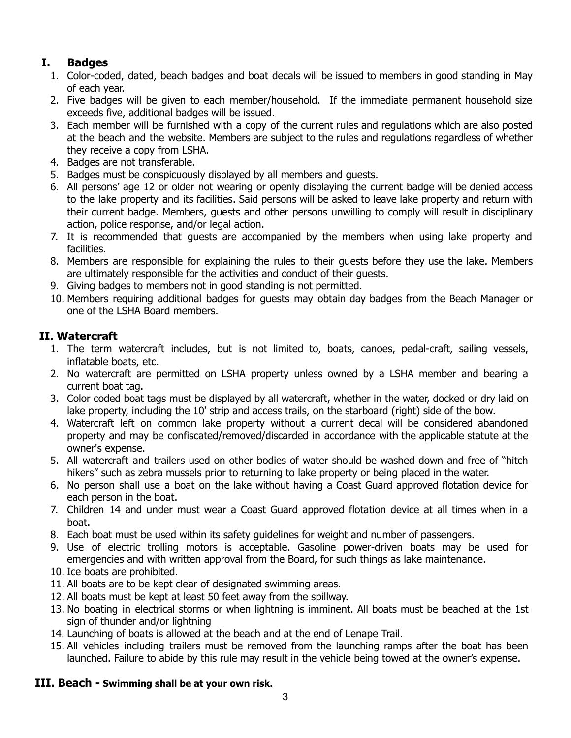## **I. Badges**

- 1. Color-coded, dated, beach badges and boat decals will be issued to members in good standing in May of each year.
- 2. Five badges will be given to each member/household. If the immediate permanent household size exceeds five, additional badges will be issued.
- 3. Each member will be furnished with a copy of the current rules and regulations which are also posted at the beach and the website. Members are subject to the rules and regulations regardless of whether they receive a copy from LSHA.
- 4. Badges are not transferable.
- 5. Badges must be conspicuously displayed by all members and guests.
- 6. All persons' age 12 or older not wearing or openly displaying the current badge will be denied access to the lake property and its facilities. Said persons will be asked to leave lake property and return with their current badge. Members, guests and other persons unwilling to comply will result in disciplinary action, police response, and/or legal action.
- 7. It is recommended that guests are accompanied by the members when using lake property and facilities.
- 8. Members are responsible for explaining the rules to their guests before they use the lake. Members are ultimately responsible for the activities and conduct of their guests.
- 9. Giving badges to members not in good standing is not permitted.
- 10. Members requiring additional badges for guests may obtain day badges from the Beach Manager or one of the LSHA Board members.

#### **II. Watercraft**

- 1. The term watercraft includes, but is not limited to, boats, canoes, pedal-craft, sailing vessels, inflatable boats, etc.
- 2. No watercraft are permitted on LSHA property unless owned by a LSHA member and bearing a current boat tag.
- 3. Color coded boat tags must be displayed by all watercraft, whether in the water, docked or dry laid on lake property, including the 10' strip and access trails, on the starboard (right) side of the bow.
- 4. Watercraft left on common lake property without a current decal will be considered abandoned property and may be confiscated/removed/discarded in accordance with the applicable statute at the owner's expense.
- 5. All watercraft and trailers used on other bodies of water should be washed down and free of "hitch hikers" such as zebra mussels prior to returning to lake property or being placed in the water.
- 6. No person shall use a boat on the lake without having a Coast Guard approved flotation device for each person in the boat.
- 7. Children 14 and under must wear a Coast Guard approved flotation device at all times when in a boat.
- 8. Each boat must be used within its safety guidelines for weight and number of passengers.
- 9. Use of electric trolling motors is acceptable. Gasoline power-driven boats may be used for emergencies and with written approval from the Board, for such things as lake maintenance.
- 10. Ice boats are prohibited.
- 11. All boats are to be kept clear of designated swimming areas.
- 12. All boats must be kept at least 50 feet away from the spillway.
- 13. No boating in electrical storms or when lightning is imminent. All boats must be beached at the 1st sign of thunder and/or lightning
- 14. Launching of boats is allowed at the beach and at the end of Lenape Trail.
- 15. All vehicles including trailers must be removed from the launching ramps after the boat has been launched. Failure to abide by this rule may result in the vehicle being towed at the owner's expense.

#### **III. Beach - Swimming shall be at your own risk.**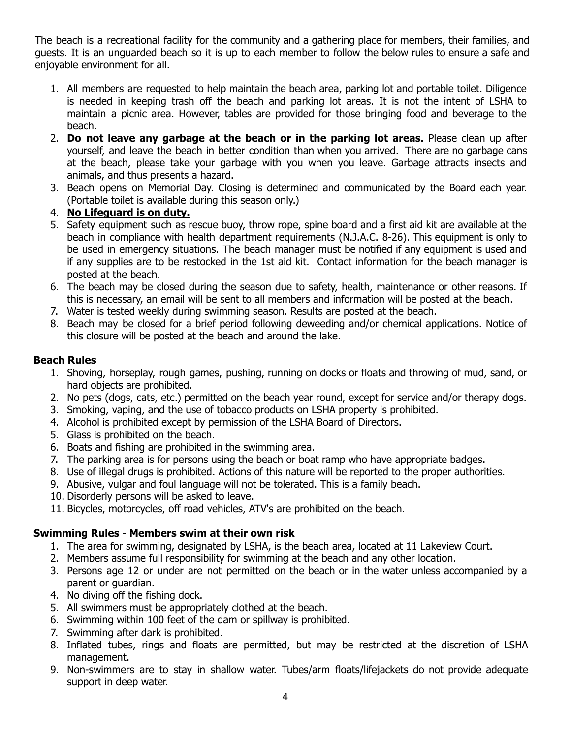The beach is a recreational facility for the community and a gathering place for members, their families, and guests. It is an unguarded beach so it is up to each member to follow the below rules to ensure a safe and enjoyable environment for all.

- 1. All members are requested to help maintain the beach area, parking lot and portable toilet. Diligence is needed in keeping trash off the beach and parking lot areas. It is not the intent of LSHA to maintain a picnic area. However, tables are provided for those bringing food and beverage to the beach.
- 2. **Do not leave any garbage at the beach or in the parking lot areas.** Please clean up after yourself, and leave the beach in better condition than when you arrived. There are no garbage cans at the beach, please take your garbage with you when you leave. Garbage attracts insects and animals, and thus presents a hazard.
- 3. Beach opens on Memorial Day. Closing is determined and communicated by the Board each year. (Portable toilet is available during this season only.)
- 4. **No Lifeguard is on duty.**
- 5. Safety equipment such as rescue buoy, throw rope, spine board and a first aid kit are available at the beach in compliance with health department requirements (N.J.A.C. 8-26). This equipment is only to be used in emergency situations. The beach manager must be notified if any equipment is used and if any supplies are to be restocked in the 1st aid kit. Contact information for the beach manager is posted at the beach.
- 6. The beach may be closed during the season due to safety, health, maintenance or other reasons. If this is necessary, an email will be sent to all members and information will be posted at the beach.
- 7. Water is tested weekly during swimming season. Results are posted at the beach.
- 8. Beach may be closed for a brief period following deweeding and/or chemical applications. Notice of this closure will be posted at the beach and around the lake.

#### **Beach Rules**

- 1. Shoving, horseplay, rough games, pushing, running on docks or floats and throwing of mud, sand, or hard objects are prohibited.
- 2. No pets (dogs, cats, etc.) permitted on the beach year round, except for service and/or therapy dogs.
- 3. Smoking, vaping, and the use of tobacco products on LSHA property is prohibited.
- 4. Alcohol is prohibited except by permission of the LSHA Board of Directors.
- 5. Glass is prohibited on the beach.
- 6. Boats and fishing are prohibited in the swimming area.
- 7. The parking area is for persons using the beach or boat ramp who have appropriate badges.
- 8. Use of illegal drugs is prohibited. Actions of this nature will be reported to the proper authorities.
- 9. Abusive, vulgar and foul language will not be tolerated. This is a family beach.
- 10. Disorderly persons will be asked to leave.
- 11. Bicycles, motorcycles, off road vehicles, ATV's are prohibited on the beach.

#### **Swimming Rules** - **Members swim at their own risk**

- 1. The area for swimming, designated by LSHA, is the beach area, located at 11 Lakeview Court.
- 2. Members assume full responsibility for swimming at the beach and any other location.
- 3. Persons age 12 or under are not permitted on the beach or in the water unless accompanied by a parent or guardian.
- 4. No diving off the fishing dock.
- 5. All swimmers must be appropriately clothed at the beach.
- 6. Swimming within 100 feet of the dam or spillway is prohibited.
- 7. Swimming after dark is prohibited.
- 8. Inflated tubes, rings and floats are permitted, but may be restricted at the discretion of LSHA management.
- 9. Non-swimmers are to stay in shallow water. Tubes/arm floats/lifejackets do not provide adequate support in deep water.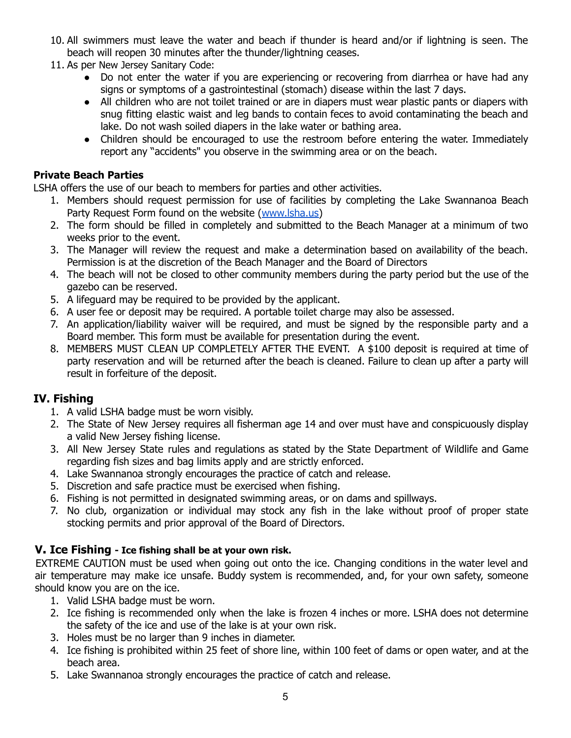- 10. All swimmers must leave the water and beach if thunder is heard and/or if lightning is seen. The beach will reopen 30 minutes after the thunder/lightning ceases.
- 11. As per New Jersey Sanitary Code:
	- Do not enter the water if you are experiencing or recovering from diarrhea or have had any signs or symptoms of a gastrointestinal (stomach) disease within the last 7 days.
	- All children who are not toilet trained or are in diapers must wear plastic pants or diapers with snug fitting elastic waist and leg bands to contain feces to avoid contaminating the beach and lake. Do not wash soiled diapers in the lake water or bathing area.
	- Children should be encouraged to use the restroom before entering the water. Immediately report any "accidents" you observe in the swimming area or on the beach.

#### **Private Beach Parties**

LSHA offers the use of our beach to members for parties and other activities.

- 1. Members should request permission for use of facilities by completing the Lake Swannanoa Beach Party Request Form found on the website ([www.lsha.us\)](http://www.lsha.us)
- 2. The form should be filled in completely and submitted to the Beach Manager at a minimum of two weeks prior to the event.
- 3. The Manager will review the request and make a determination based on availability of the beach. Permission is at the discretion of the Beach Manager and the Board of Directors
- 4. The beach will not be closed to other community members during the party period but the use of the gazebo can be reserved.
- 5. A lifeguard may be required to be provided by the applicant.
- 6. A user fee or deposit may be required. A portable toilet charge may also be assessed.
- 7. An application/liability waiver will be required, and must be signed by the responsible party and a Board member. This form must be available for presentation during the event.
- 8. MEMBERS MUST CLEAN UP COMPLETELY AFTER THE EVENT. A \$100 deposit is required at time of party reservation and will be returned after the beach is cleaned. Failure to clean up after a party will result in forfeiture of the deposit.

## **IV. Fishing**

- 1. A valid LSHA badge must be worn visibly.
- 2. The State of New Jersey requires all fisherman age 14 and over must have and conspicuously display a valid New Jersey fishing license.
- 3. All New Jersey State rules and regulations as stated by the State Department of Wildlife and Game regarding fish sizes and bag limits apply and are strictly enforced.
- 4. Lake Swannanoa strongly encourages the practice of catch and release.
- 5. Discretion and safe practice must be exercised when fishing.
- 6. Fishing is not permitted in designated swimming areas, or on dams and spillways.
- 7. No club, organization or individual may stock any fish in the lake without proof of proper state stocking permits and prior approval of the Board of Directors.

#### **V. Ice Fishing - Ice fishing shall be at your own risk.**

EXTREME CAUTION must be used when going out onto the ice. Changing conditions in the water level and air temperature may make ice unsafe. Buddy system is recommended, and, for your own safety, someone should know you are on the ice.

- 1. Valid LSHA badge must be worn.
- 2. Ice fishing is recommended only when the lake is frozen 4 inches or more. LSHA does not determine the safety of the ice and use of the lake is at your own risk.
- 3. Holes must be no larger than 9 inches in diameter.
- 4. Ice fishing is prohibited within 25 feet of shore line, within 100 feet of dams or open water, and at the beach area.
- 5. Lake Swannanoa strongly encourages the practice of catch and release.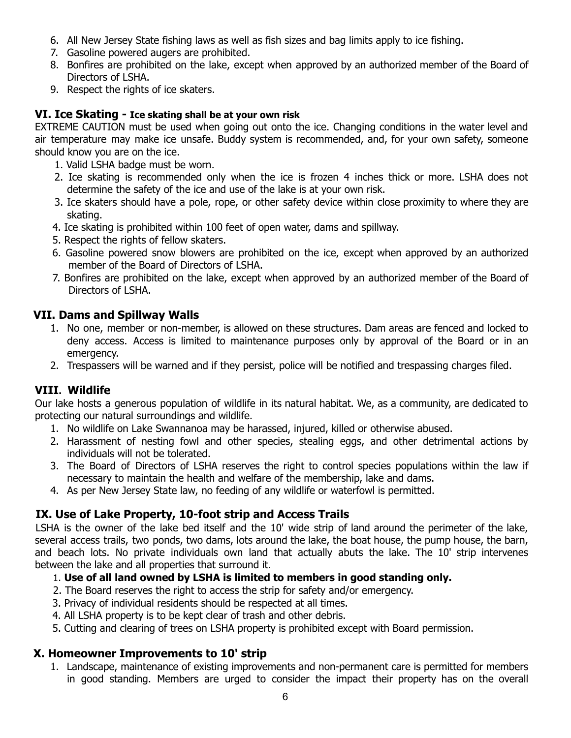- 6. All New Jersey State fishing laws as well as fish sizes and bag limits apply to ice fishing.
- 7. Gasoline powered augers are prohibited.
- 8. Bonfires are prohibited on the lake, except when approved by an authorized member of the Board of Directors of LSHA.
- 9. Respect the rights of ice skaters.

#### **VI. Ice Skating - Ice skating shall be at your own risk**

EXTREME CAUTION must be used when going out onto the ice. Changing conditions in the water level and air temperature may make ice unsafe. Buddy system is recommended, and, for your own safety, someone should know you are on the ice.

- 1. Valid LSHA badge must be worn.
- 2. Ice skating is recommended only when the ice is frozen 4 inches thick or more. LSHA does not determine the safety of the ice and use of the lake is at your own risk.
- 3. Ice skaters should have a pole, rope, or other safety device within close proximity to where they are skating.
- 4. Ice skating is prohibited within 100 feet of open water, dams and spillway.
- 5. Respect the rights of fellow skaters.
- 6. Gasoline powered snow blowers are prohibited on the ice, except when approved by an authorized member of the Board of Directors of LSHA.
- 7. Bonfires are prohibited on the lake, except when approved by an authorized member of the Board of Directors of LSHA.

#### **VII. Dams and Spillway Walls**

- 1. No one, member or non-member, is allowed on these structures. Dam areas are fenced and locked to deny access. Access is limited to maintenance purposes only by approval of the Board or in an emergency.
- 2. Trespassers will be warned and if they persist, police will be notified and trespassing charges filed.

## **VIII. Wildlife**

Our lake hosts a generous population of wildlife in its natural habitat. We, as a community, are dedicated to protecting our natural surroundings and wildlife.

- 1. No wildlife on Lake Swannanoa may be harassed, injured, killed or otherwise abused.
- 2. Harassment of nesting fowl and other species, stealing eggs, and other detrimental actions by individuals will not be tolerated.
- 3. The Board of Directors of LSHA reserves the right to control species populations within the law if necessary to maintain the health and welfare of the membership, lake and dams.
- 4. As per New Jersey State law, no feeding of any wildlife or waterfowl is permitted.

## **IX. Use of Lake Property, 10-foot strip and Access Trails**

LSHA is the owner of the lake bed itself and the 10' wide strip of land around the perimeter of the lake, several access trails, two ponds, two dams, lots around the lake, the boat house, the pump house, the barn, and beach lots. No private individuals own land that actually abuts the lake. The 10' strip intervenes between the lake and all properties that surround it.

#### 1. **Use of all land owned by LSHA is limited to members in good standing only.**

- 2. The Board reserves the right to access the strip for safety and/or emergency.
- 3. Privacy of individual residents should be respected at all times.
- 4. All LSHA property is to be kept clear of trash and other debris.
- 5. Cutting and clearing of trees on LSHA property is prohibited except with Board permission.

## **X. Homeowner Improvements to 10' strip**

1. Landscape, maintenance of existing improvements and non-permanent care is permitted for members in good standing. Members are urged to consider the impact their property has on the overall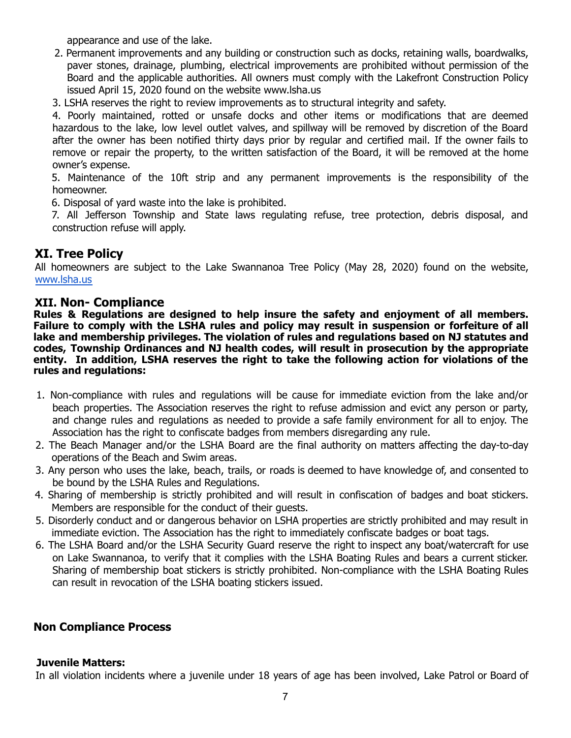appearance and use of the lake.

- 2. Permanent improvements and any building or construction such as docks, retaining walls, boardwalks, paver stones, drainage, plumbing, electrical improvements are prohibited without permission of the Board and the applicable authorities. All owners must comply with the Lakefront Construction Policy issued April 15, 2020 found on the website www.lsha.us
- 3. LSHA reserves the right to review improvements as to structural integrity and safety.

4. Poorly maintained, rotted or unsafe docks and other items or modifications that are deemed hazardous to the lake, low level outlet valves, and spillway will be removed by discretion of the Board after the owner has been notified thirty days prior by regular and certified mail. If the owner fails to remove or repair the property, to the written satisfaction of the Board, it will be removed at the home owner's expense.

5. Maintenance of the 10ft strip and any permanent improvements is the responsibility of the homeowner.

6. Disposal of yard waste into the lake is prohibited.

7. All Jefferson Township and State laws regulating refuse, tree protection, debris disposal, and construction refuse will apply.

## **XI. Tree Policy**

All homeowners are subject to the Lake Swannanoa Tree Policy (May 28, 2020) found on the website, [www.lsha.us](http://www.lsha.us)

#### **XII. Non- Compliance**

**Rules & Regulations are designed to help insure the safety and enjoyment of all members. Failure to comply with the LSHA rules and policy may result in suspension or forfeiture of all lake and membership privileges. The violation of rules and regulations based on NJ statutes and codes, Township Ordinances and NJ health codes, will result in prosecution by the appropriate entity. In addition, LSHA reserves the right to take the following action for violations of the rules and regulations:**

- 1. Non-compliance with rules and regulations will be cause for immediate eviction from the lake and/or beach properties. The Association reserves the right to refuse admission and evict any person or party, and change rules and regulations as needed to provide a safe family environment for all to enjoy. The Association has the right to confiscate badges from members disregarding any rule.
- 2. The Beach Manager and/or the LSHA Board are the final authority on matters affecting the day-to-day operations of the Beach and Swim areas.
- 3. Any person who uses the lake, beach, trails, or roads is deemed to have knowledge of, and consented to be bound by the LSHA Rules and Regulations.
- 4. Sharing of membership is strictly prohibited and will result in confiscation of badges and boat stickers. Members are responsible for the conduct of their guests.
- 5. Disorderly conduct and or dangerous behavior on LSHA properties are strictly prohibited and may result in immediate eviction. The Association has the right to immediately confiscate badges or boat tags.
- 6. The LSHA Board and/or the LSHA Security Guard reserve the right to inspect any boat/watercraft for use on Lake Swannanoa, to verify that it complies with the LSHA Boating Rules and bears a current sticker. Sharing of membership boat stickers is strictly prohibited. Non-compliance with the LSHA Boating Rules can result in revocation of the LSHA boating stickers issued.

#### **Non Compliance Process**

#### **Juvenile Matters:**

In all violation incidents where a juvenile under 18 years of age has been involved, Lake Patrol or Board of